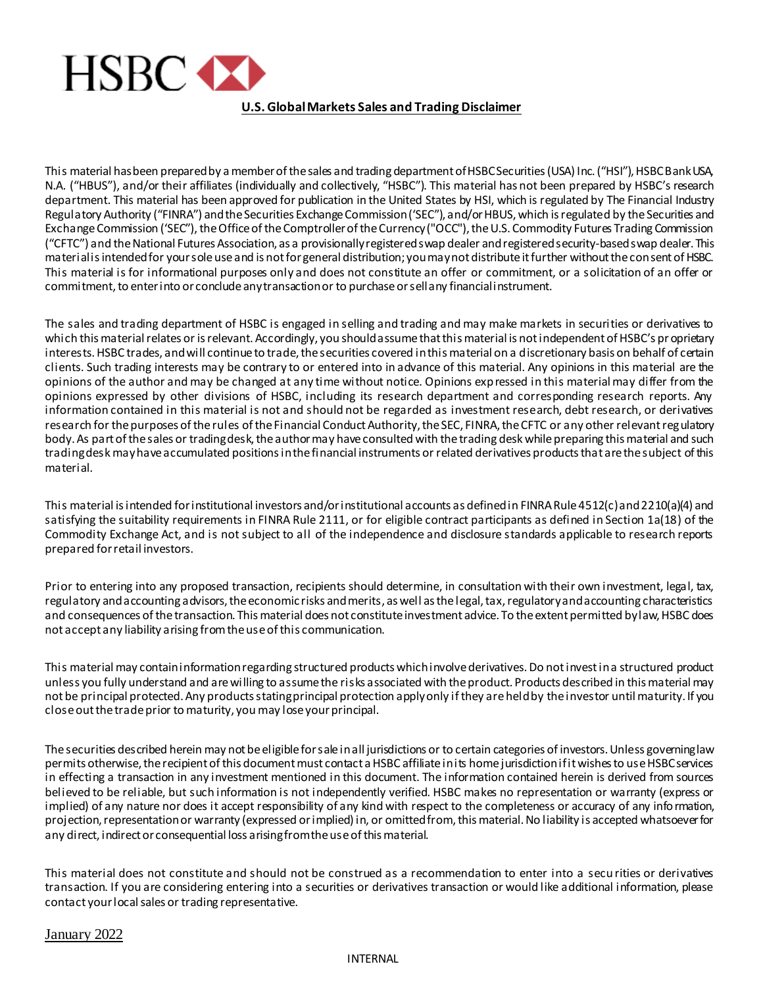

## **U.S. Global Markets Sales and Trading Disclaimer**

This material has been prepared by a member of the sales and trading department of HSBC Securities (USA) Inc. ("HSI"), HSBC Bank USA, N.A. ("HBUS"), and/or their affiliates (individually and collectively, "HSBC"). This material has not been prepared by HSBC's research department. This material has been approved for publication in the United States by HSI, which is regulated by The Financial Industry Regulatory Authority ("FINRA") and the Securities Exchange Commission ('SEC"), and/or HBUS, which is regulated by the Securities and Exchange Commission ('SEC"), the Office of the Comptroller of the Currency ("OCC"), the U.S. Commodity Futures Trading Commission ("CFTC") and the National Futures Association, as a provisionally registered swap dealer and registered security-based swap dealer. This material is intended for your sole use and is not for general distribution; you may not distribute it further without the consent of HSBC. This material is for informational purposes only and does not constitute an offer or commitment, or a solicitation of an offer or commitment, to enter into or conclude any transaction or to purchase or sell any financial instrument.

The sales and trading department of HSBC is engaged in selling and trading and may make markets in securities or derivatives to which this material relates or is relevant. Accordingly, you should assume that this material is not independent of HSBC's proprietary interests. HSBC trades, and will continue to trade, the securities covered in this material on a discretionary basis on behalf of certain clients. Such trading interests may be contrary to or entered into in advance of this material. Any opinions in this material are the opinions of the author and may be changed at any time without notice. Opinions expressed in this material may differ from the opinions expressed by other divisions of HSBC, including its research department and corresponding research reports. Any information contained in this material is not and should not be regarded as investment research, debt research, or derivatives research for the purposes of the rules of the Financial Conduct Authority, the SEC, FINRA, the CFTC or any other relevant regulatory body. As part of the sales or trading desk, the author may have consulted with the trading desk while preparing this material and such trading desk may have accumulated positions in the financial instruments or related derivatives products that are the subject of this material.

This material is intended for institutional investors and/or institutional accounts as defined in FINRA Rule 4512(c) and 2210(a)(4) and satisfying the suitability requirements in FINRA Rule 2111, or for eligible contract participants as defined in Section 1a(18) of the Commodity Exchange Act, and is not subject to all of the independence and disclosure standards applicable to research reports prepared for retail investors.

Prior to entering into any proposed transaction, recipients should determine, in consultation with their own investment, legal, tax, regulatory and accounting advisors, the economic risks and merits, as well as the legal, tax, regulatory and accounting characteristics and consequences of the transaction. This material does not constitute investment advice. To the extent permitted by law, HSBC does not accept any liability arising from the use of this communication.

This material may contain information regarding structured products which involve derivatives. Do not invest in a structured product unless you fully understand and are willing to assume the risks associated with the product. Products described in this material may not be principal protected. Any products stating principal protection apply only if they are held by the investor until maturity. If you close out the trade prior to maturity, you may lose your principal.

The securities described herein may not be eligible for sale in all jurisdictions or to certain categories of investors. Unless governing law permits otherwise, the recipient of this document must contact a HSBC affiliate in its home jurisdiction if it wishes to use HSBC services in effecting a transaction in any investment mentioned in this document. The information contained herein is derived from sources believed to be reliable, but such information is not independently verified. HSBC makes no representation or warranty (express or implied) of any nature nor does it accept responsibility of any kind with respect to the completeness or accuracy of any information, projection, representation or warranty (expressed or implied) in, or omitted from, this material. No liability is accepted whatsoever for any direct, indirect or consequential loss arising from the use of this material.

This material does not constitute and should not be construed as a recommendation to enter into a secu rities or derivatives transaction. If you are considering entering into a securities or derivatives transaction or would like additional information, please contact your local sales or trading representative.

## January 2022